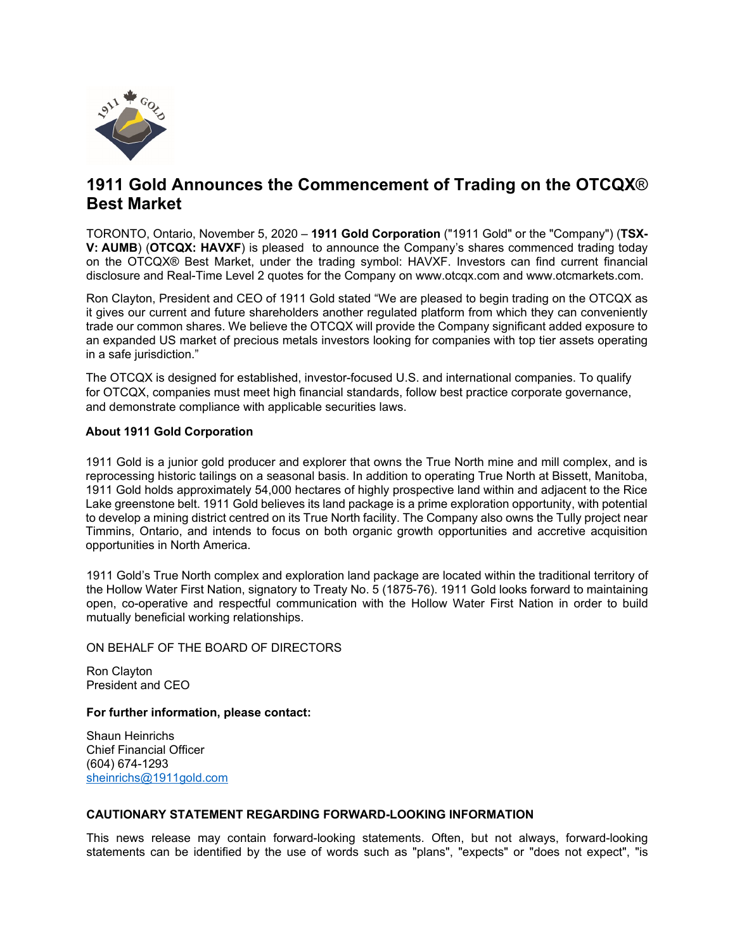

# **1911 Gold Announces the Commencement of Trading on the OTCQX**® **Best Market**

TORONTO, Ontario, November 5, 2020 – **1911 Gold Corporation** ("1911 Gold" or the "Company") (**TSX-V: AUMB**) (**OTCQX: HAVXF**) is pleased to announce the Company's shares commenced trading today on the OTCQX® Best Market, under the trading symbol: HAVXF. Investors can find current financial disclosure and Real-Time Level 2 quotes for the Company on www.otcqx.com and www.otcmarkets.com.

Ron Clayton, President and CEO of 1911 Gold stated "We are pleased to begin trading on the OTCQX as it gives our current and future shareholders another regulated platform from which they can conveniently trade our common shares. We believe the OTCQX will provide the Company significant added exposure to an expanded US market of precious metals investors looking for companies with top tier assets operating in a safe jurisdiction."

The OTCQX is designed for established, investor-focused U.S. and international companies. To qualify for OTCQX, companies must meet high financial standards, follow best practice corporate governance, and demonstrate compliance with applicable securities laws.

## **About 1911 Gold Corporation**

1911 Gold is a junior gold producer and explorer that owns the True North mine and mill complex, and is reprocessing historic tailings on a seasonal basis. In addition to operating True North at Bissett, Manitoba, 1911 Gold holds approximately 54,000 hectares of highly prospective land within and adjacent to the Rice Lake greenstone belt. 1911 Gold believes its land package is a prime exploration opportunity, with potential to develop a mining district centred on its True North facility. The Company also owns the Tully project near Timmins, Ontario, and intends to focus on both organic growth opportunities and accretive acquisition opportunities in North America.

1911 Gold's True North complex and exploration land package are located within the traditional territory of the Hollow Water First Nation, signatory to Treaty No. 5 (1875-76). 1911 Gold looks forward to maintaining open, co-operative and respectful communication with the Hollow Water First Nation in order to build mutually beneficial working relationships.

## ON BEHALF OF THE BOARD OF DIRECTORS

Ron Clayton President and CEO

### **For further information, please contact:**

Shaun Heinrichs Chief Financial Officer (604) 674-1293 [sheinrichs@1911gold.com](mailto:sheinrichs@1911gold.com)

### **CAUTIONARY STATEMENT REGARDING FORWARD-LOOKING INFORMATION**

This news release may contain forward-looking statements. Often, but not always, forward-looking statements can be identified by the use of words such as "plans", "expects" or "does not expect", "is